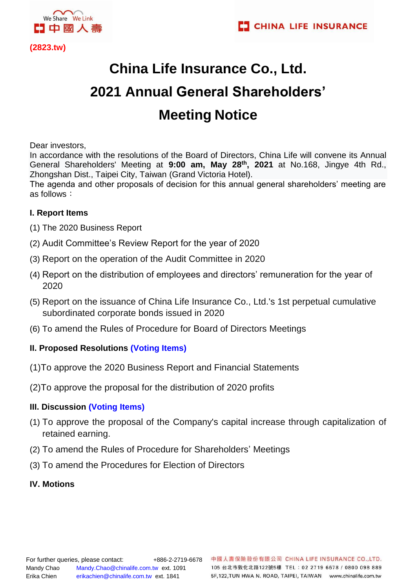



**(2823.tw)** 

## **China Life Insurance Co., Ltd. 2021 Annual General Shareholders' Meeting Notice**

Dear investors,

In accordance with the resolutions of the Board of Directors, China Life will convene its Annual General Shareholders' Meeting at **9:00 am, May 28 th, 2021** at No.168, Jingye 4th Rd., Zhongshan Dist., Taipei City, Taiwan (Grand Victoria Hotel).

The agenda and other proposals of decision for this annual general shareholders' meeting are as follows:

## **I. Report Items**

- (1) The 2020 Business Report
- (2) Audit Committee's Review Report for the year of 2020
- (3) Report on the operation of the Audit Committee in 2020
- (4) Report on the distribution of employees and directors' remuneration for the year of 2020
- (5) Report on the issuance of China Life Insurance Co., Ltd.'s 1st perpetual cumulative subordinated corporate bonds issued in 2020
- (6) To amend the Rules of Procedure for Board of Directors Meetings

## **II. Proposed Resolutions (Voting Items)**

- (1)To approve the 2020 Business Report and Financial Statements
- (2)To approve the proposal for the distribution of 2020 profits

## **III. Discussion (Voting Items)**

- (1) To approve the proposal of the Company's capital increase through capitalization of retained earning.
- (2) To amend the Rules of Procedure for Shareholders' Meetings
- (3) To amend the Procedures for Election of Directors
- **IV. Motions**